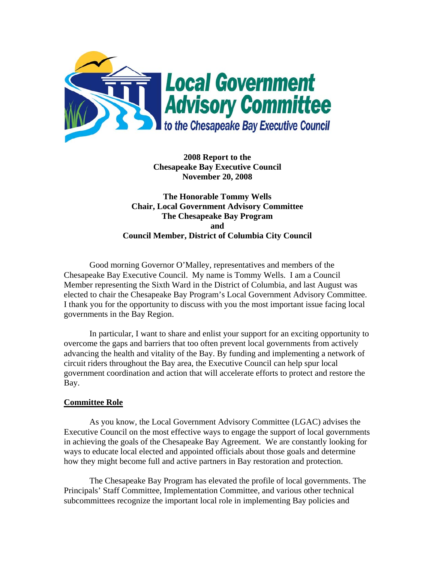

**2008 Report to the Chesapeake Bay Executive Council November 20, 2008** 

**The Honorable Tommy Wells Chair, Local Government Advisory Committee The Chesapeake Bay Program and Council Member, District of Columbia City Council** 

Good morning Governor O'Malley, representatives and members of the Chesapeake Bay Executive Council. My name is Tommy Wells. I am a Council Member representing the Sixth Ward in the District of Columbia, and last August was elected to chair the Chesapeake Bay Program's Local Government Advisory Committee. I thank you for the opportunity to discuss with you the most important issue facing local governments in the Bay Region.

In particular, I want to share and enlist your support for an exciting opportunity to overcome the gaps and barriers that too often prevent local governments from actively advancing the health and vitality of the Bay. By funding and implementing a network of circuit riders throughout the Bay area, the Executive Council can help spur local government coordination and action that will accelerate efforts to protect and restore the Bay.

### **Committee Role**

 As you know, the Local Government Advisory Committee (LGAC) advises the Executive Council on the most effective ways to engage the support of local governments in achieving the goals of the Chesapeake Bay Agreement. We are constantly looking for ways to educate local elected and appointed officials about those goals and determine how they might become full and active partners in Bay restoration and protection.

The Chesapeake Bay Program has elevated the profile of local governments. The Principals' Staff Committee, Implementation Committee, and various other technical subcommittees recognize the important local role in implementing Bay policies and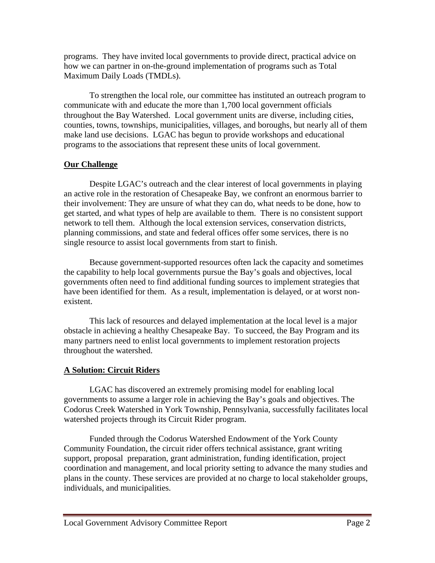programs. They have invited local governments to provide direct, practical advice on how we can partner in on-the-ground implementation of programs such as Total Maximum Daily Loads (TMDLs).

To strengthen the local role, our committee has instituted an outreach program to communicate with and educate the more than 1,700 local government officials throughout the Bay Watershed. Local government units are diverse, including cities, counties, towns, townships, municipalities, villages, and boroughs, but nearly all of them make land use decisions. LGAC has begun to provide workshops and educational programs to the associations that represent these units of local government.

# **Our Challenge**

Despite LGAC's outreach and the clear interest of local governments in playing an active role in the restoration of Chesapeake Bay, we confront an enormous barrier to their involvement: They are unsure of what they can do, what needs to be done, how to get started, and what types of help are available to them. There is no consistent support network to tell them. Although the local extension services, conservation districts, planning commissions, and state and federal offices offer some services, there is no single resource to assist local governments from start to finish.

Because government-supported resources often lack the capacity and sometimes the capability to help local governments pursue the Bay's goals and objectives, local governments often need to find additional funding sources to implement strategies that have been identified for them. As a result, implementation is delayed, or at worst nonexistent.

This lack of resources and delayed implementation at the local level is a major obstacle in achieving a healthy Chesapeake Bay. To succeed, the Bay Program and its many partners need to enlist local governments to implement restoration projects throughout the watershed.

## **A Solution: Circuit Riders**

 LGAC has discovered an extremely promising model for enabling local governments to assume a larger role in achieving the Bay's goals and objectives. The Codorus Creek Watershed in York Township, Pennsylvania, successfully facilitates local watershed projects through its Circuit Rider program.

Funded through the Codorus Watershed Endowment of the York County Community Foundation, the circuit rider offers technical assistance, grant writing support, proposal preparation, grant administration, funding identification, project coordination and management, and local priority setting to advance the many studies and plans in the county. These services are provided at no charge to local stakeholder groups, individuals, and municipalities.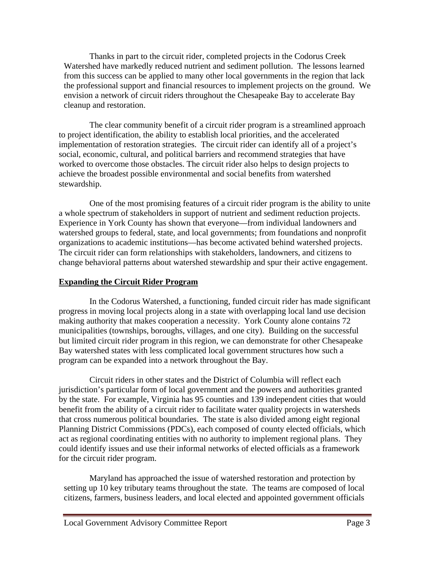Thanks in part to the circuit rider, completed projects in the Codorus Creek Watershed have markedly reduced nutrient and sediment pollution. The lessons learned from this success can be applied to many other local governments in the region that lack the professional support and financial resources to implement projects on the ground. We envision a network of circuit riders throughout the Chesapeake Bay to accelerate Bay cleanup and restoration.

 The clear community benefit of a circuit rider program is a streamlined approach to project identification, the ability to establish local priorities, and the accelerated implementation of restoration strategies. The circuit rider can identify all of a project's social, economic, cultural, and political barriers and recommend strategies that have worked to overcome those obstacles. The circuit rider also helps to design projects to achieve the broadest possible environmental and social benefits from watershed stewardship.

 One of the most promising features of a circuit rider program is the ability to unite a whole spectrum of stakeholders in support of nutrient and sediment reduction projects. Experience in York County has shown that everyone—from individual landowners and watershed groups to federal, state, and local governments; from foundations and nonprofit organizations to academic institutions—has become activated behind watershed projects. The circuit rider can form relationships with stakeholders, landowners, and citizens to change behavioral patterns about watershed stewardship and spur their active engagement.

## **Expanding the Circuit Rider Program**

 In the Codorus Watershed, a functioning, funded circuit rider has made significant progress in moving local projects along in a state with overlapping local land use decision making authority that makes cooperation a necessity. York County alone contains 72 municipalities (townships, boroughs, villages, and one city). Building on the successful but limited circuit rider program in this region, we can demonstrate for other Chesapeake Bay watershed states with less complicated local government structures how such a program can be expanded into a network throughout the Bay.

Circuit riders in other states and the District of Columbia will reflect each jurisdiction's particular form of local government and the powers and authorities granted by the state. For example, Virginia has 95 counties and 139 independent cities that would benefit from the ability of a circuit rider to facilitate water quality projects in watersheds that cross numerous political boundaries. The state is also divided among eight regional Planning District Commissions (PDCs), each composed of county elected officials, which act as regional coordinating entities with no authority to implement regional plans. They could identify issues and use their informal networks of elected officials as a framework for the circuit rider program.

 Maryland has approached the issue of watershed restoration and protection by setting up 10 key tributary teams throughout the state. The teams are composed of local citizens, farmers, business leaders, and local elected and appointed government officials